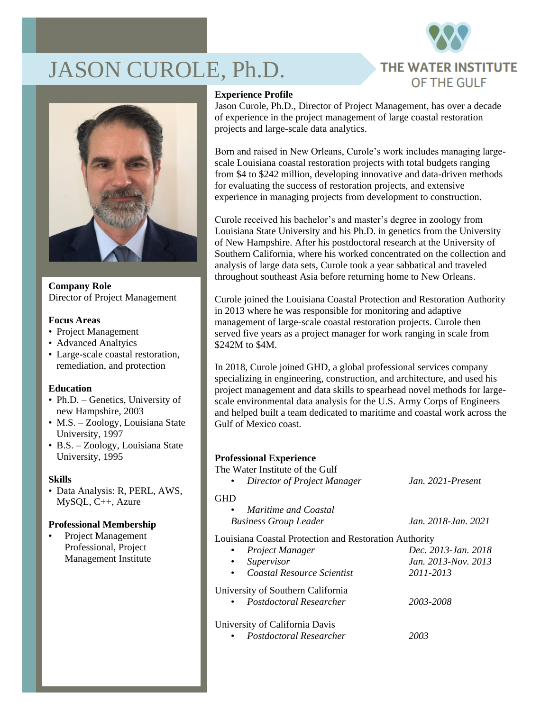# JASON CUROLE, Ph.D.





**Company Role** Director of Project Management

### **Focus Areas**

- Project Management
- Advanced Analtyics
- Large-scale coastal restoration, remediation, and protection

## **Education**

- Ph.D. Genetics, University of new Hampshire, 2003
- M.S. Zoology, Louisiana State University, 1997
- B.S. Zoology, Louisiana State University, 1995

## **Skills**

• Data Analysis: R, PERL, AWS, MySQL, C++, Azure

#### **Professional Membership**

• Project Management Professional, Project Management Institute

#### **Experience Profile**

Jason Curole, Ph.D., Director of Project Management, has over a decade of experience in the project management of large coastal restoration projects and large-scale data analytics.

Born and raised in New Orleans, Curole's work includes managing largescale Louisiana coastal restoration projects with total budgets ranging from \$4 to \$242 million, developing innovative and data-driven methods for evaluating the success of restoration projects, and extensive experience in managing projects from development to construction.

Curole received his bachelor's and master's degree in zoology from Louisiana State University and his Ph.D. in genetics from the University of New Hampshire. After his postdoctoral research at the University of Southern California, where his worked concentrated on the collection and analysis of large data sets, Curole took a year sabbatical and traveled throughout southeast Asia before returning home to New Orleans.

Curole joined the Louisiana Coastal Protection and Restoration Authority in 2013 where he was responsible for monitoring and adaptive management of large-scale coastal restoration projects. Curole then served five years as a project manager for work ranging in scale from \$242M to \$4M.

In 2018, Curole joined GHD, a global professional services company specializing in engineering, construction, and architecture, and used his project management and data skills to spearhead novel methods for largescale environmental data analysis for the U.S. Army Corps of Engineers and helped built a team dedicated to maritime and coastal work across the Gulf of Mexico coast.

## **Professional Experience**

| The Water Institute of the Gulf<br>Director of Project Manager | Jan. $2021$ -Present |
|----------------------------------------------------------------|----------------------|
| <b>GHD</b><br>Maritime and Coastal<br>٠                        |                      |
| <b>Business Group Leader</b>                                   | Jan. 2018-Jan. 2021  |
| Louisiana Coastal Protection and Restoration Authority         |                      |
| Project Manager                                                | Dec. 2013-Jan. 2018  |
| Supervisor<br>٠                                                | Jan. 2013-Nov. 2013  |
| Coastal Resource Scientist<br>٠                                | 2011-2013            |
| University of Southern California                              |                      |
| • Postdoctoral Researcher                                      | 2003-2008            |
| University of California Davis<br>Postdoctoral Researcher      | 2003                 |
|                                                                |                      |